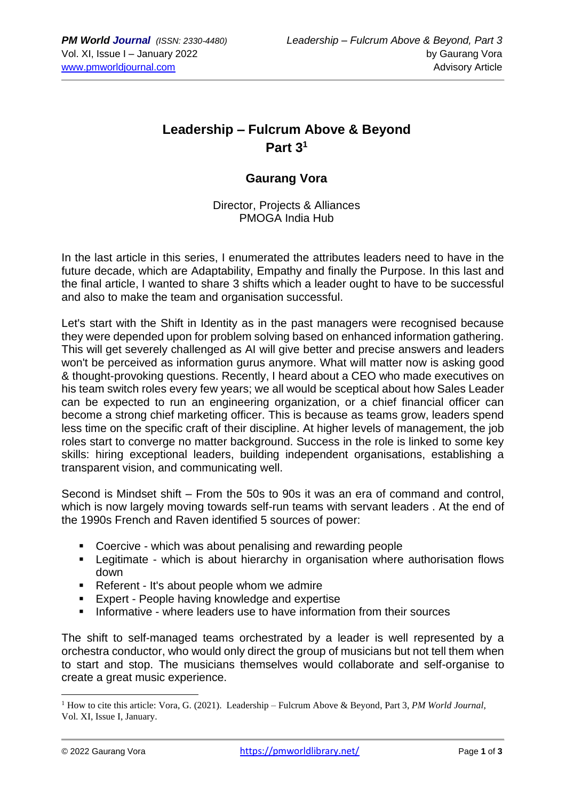# **Leadership – Fulcrum Above & Beyond Part 3 1**

### **Gaurang Vora**

Director, Projects & Alliances PMOGA India Hub

In the last article in this series, I enumerated the attributes leaders need to have in the future decade, which are Adaptability, Empathy and finally the Purpose. In this last and the final article, I wanted to share 3 shifts which a leader ought to have to be successful and also to make the team and organisation successful.

Let's start with the Shift in Identity as in the past managers were recognised because they were depended upon for problem solving based on enhanced information gathering. This will get severely challenged as AI will give better and precise answers and leaders won't be perceived as information gurus anymore. What will matter now is asking good & thought-provoking questions. Recently, I heard about a CEO who made executives on his team switch roles every few years; we all would be sceptical about how Sales Leader can be expected to run an engineering organization, or a chief financial officer can become a strong chief marketing officer. This is because as teams grow, leaders spend less time on the specific craft of their discipline. At higher levels of management, the job roles start to converge no matter background. Success in the role is linked to some key skills: hiring exceptional leaders, building independent organisations, establishing a transparent vision, and communicating well.

Second is Mindset shift – From the 50s to 90s it was an era of command and control, which is now largely moving towards self-run teams with servant leaders . At the end of the 1990s French and Raven identified 5 sources of power:

- Coercive which was about penalising and rewarding people
- Legitimate which is about hierarchy in organisation where authorisation flows down
- Referent It's about people whom we admire
- Expert People having knowledge and expertise
- Informative where leaders use to have information from their sources

The shift to self-managed teams orchestrated by a leader is well represented by a orchestra conductor, who would only direct the group of musicians but not tell them when to start and stop. The musicians themselves would collaborate and self-organise to create a great music experience.

<sup>1</sup> How to cite this article: Vora, G. (2021). Leadership – Fulcrum Above & Beyond, Part 3, *PM World Journal*, Vol. XI, Issue I, January.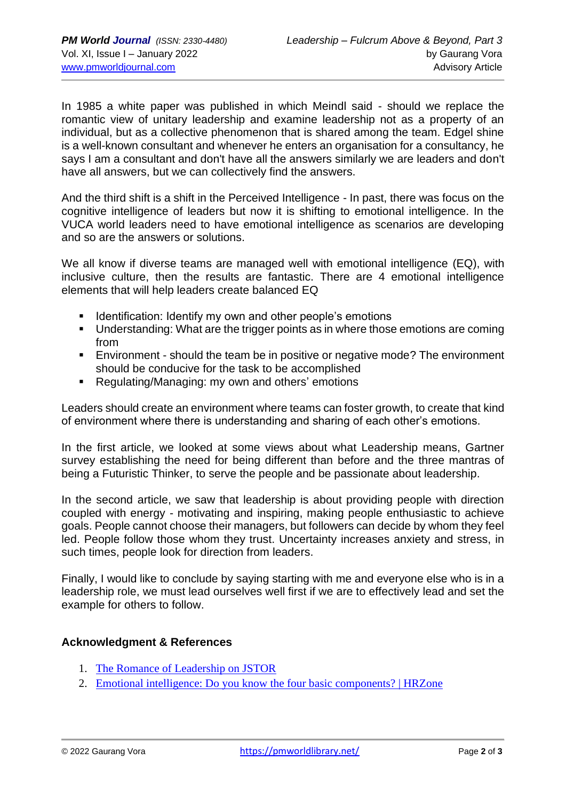In 1985 a white paper was published in which Meindl said - should we replace the romantic view of unitary leadership and examine leadership not as a property of an individual, but as a collective phenomenon that is shared among the team. Edgel shine is a well-known consultant and whenever he enters an organisation for a consultancy, he says I am a consultant and don't have all the answers similarly we are leaders and don't have all answers, but we can collectively find the answers.

And the third shift is a shift in the Perceived Intelligence - In past, there was focus on the cognitive intelligence of leaders but now it is shifting to emotional intelligence. In the VUCA world leaders need to have emotional intelligence as scenarios are developing and so are the answers or solutions.

We all know if diverse teams are managed well with emotional intelligence (EQ), with inclusive culture, then the results are fantastic. There are 4 emotional intelligence elements that will help leaders create balanced EQ

- Identification: Identify my own and other people's emotions
- Understanding: What are the trigger points as in where those emotions are coming from
- Environment should the team be in positive or negative mode? The environment should be conducive for the task to be accomplished
- Regulating/Managing: my own and others' emotions

Leaders should create an environment where teams can foster growth, to create that kind of environment where there is understanding and sharing of each other's emotions.

In the first article, we looked at some views about what Leadership means, Gartner survey establishing the need for being different than before and the three mantras of being a Futuristic Thinker, to serve the people and be passionate about leadership.

In the second article, we saw that leadership is about providing people with direction coupled with energy - motivating and inspiring, making people enthusiastic to achieve goals. People cannot choose their managers, but followers can decide by whom they feel led. People follow those whom they trust. Uncertainty increases anxiety and stress, in such times, people look for direction from leaders.

Finally, I would like to conclude by saying starting with me and everyone else who is in a leadership role, we must lead ourselves well first if we are to effectively lead and set the example for others to follow.

#### **Acknowledgment & References**

- 1. [The Romance of Leadership on JSTOR](https://www.jstor.org/stable/2392813)
- 2. [Emotional intelligence: Do you know the four basic components? | HRZone](https://www.hrzone.com/perform/people/emotional-intelligence-do-you-know-the-four-basic-components)